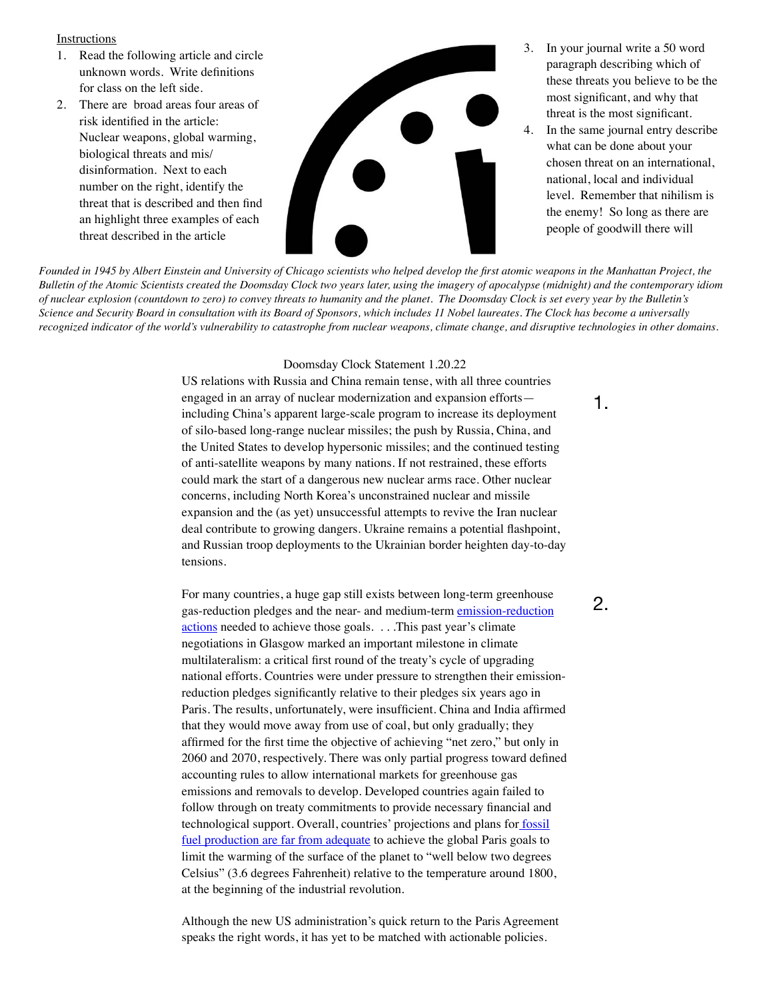## **Instructions**

- 1. Read the following article and circle unknown words. Write definitions for class on the left side.
- 2. There are broad areas four areas of risk identified in the article: Nuclear weapons, global warming, biological threats and mis/ disinformation. Next to each number on the right, identify the threat that is described and then find an highlight three examples of each threat described in the article



- 3. In your journal write a 50 word paragraph describing which of these threats you believe to be the most significant, and why that threat is the most significant.
- 4. In the same journal entry describe what can be done about your chosen threat on an international, national, local and individual level. Remember that nihilism is the enemy! So long as there are people of goodwill there will

*Bulletin of the Atomic Scientists created the Doomsday Clock two years later, using the imagery of apocalypse (midnight) and the contemporary idiom of nuclear explosion (countdown to zero) to convey threats to humanity and the planet. The Doomsday Clock is set every year by the Bulletin's Science and Security Board in consultation with its Board of Sponsors, which includes 11 Nobel laureates. The Clock has become a universally recognized indicator of the world's vulnerability to catastrophe from nuclear weapons, climate change, and disruptive technologies in other domains.*

## Doomsday Clock Statement 1.20.22

US relations with Russia and China remain tense, with all three countries engaged in an array of nuclear modernization and expansion efforts including China's apparent large-scale program to increase its deployment of silo-based long-range nuclear missiles; the push by Russia, China, and the United States to develop hypersonic missiles; and the continued testing of anti-satellite weapons by many nations. If not restrained, these efforts could mark the start of a dangerous new nuclear arms race. Other nuclear concerns, including North Korea's unconstrained nuclear and missile expansion and the (as yet) unsuccessful attempts to revive the Iran nuclear deal contribute to growing dangers. Ukraine remains a potential flashpoint, and Russian troop deployments to the Ukrainian border heighten day-to-day tensions.

For many countries, a huge gap still exists between long-term greenhouse gas-reduction pledges and the near- and medium-term emission-reduction [actions](https://www.foreignaffairs.com/articles/2021-09-30/net-zero-trap) needed to achieve those goals. . . .This past year's climate negotiations in Glasgow marked an important milestone in climate multilateralism: a critical first round of the treaty's cycle of upgrading national efforts. Countries were under pressure to strengthen their emissionreduction pledges significantly relative to their pledges six years ago in Paris. The results, unfortunately, were insufficient. China and India affirmed that they would move away from use of coal, but only gradually; they affirmed for the first time the objective of achieving "net zero," but only in 2060 and 2070, respectively. There was only partial progress toward defined accounting rules to allow international markets for greenhouse gas emissions and removals to develop. Developed countries again failed to follow through on treaty commitments to provide necessary financial and technological support. Overall, countries' projections and plans for **fossil** [fuel production are far from adequate](https://productiongap.org/) to achieve the global Paris goals to limit the warming of the surface of the planet to "well below two degrees Celsius" (3.6 degrees Fahrenheit) relative to the temperature around 1800, at the beginning of the industrial revolution.

Although the new US administration's quick return to the Paris Agreement speaks the right words, it has yet to be matched with actionable policies.

1.

2.